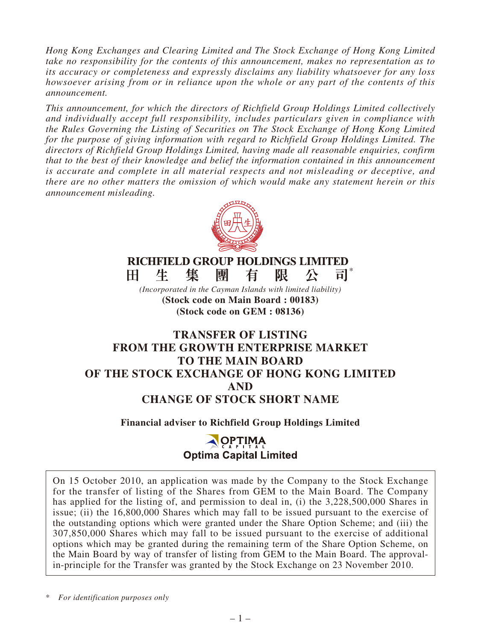*Hong Kong Exchanges and Clearing Limited and The Stock Exchange of Hong Kong Limited take no responsibility for the contents of this announcement, makes no representation as to its accuracy or completeness and expressly disclaims any liability whatsoever for any loss howsoever arising from or in reliance upon the whole or any part of the contents of this announcement.*

*This announcement, for which the directors of Richfield Group Holdings Limited collectively and individually accept full responsibility, includes particulars given in compliance with the Rules Governing the Listing of Securities on The Stock Exchange of Hong Kong Limited for the purpose of giving information with regard to Richfield Group Holdings Limited. The directors of Richfield Group Holdings Limited, having made all reasonable enquiries, confirm that to the best of their knowledge and belief the information contained in this announcement is accurate and complete in all material respects and not misleading or deceptive, and there are no other matters the omission of which would make any statement herein or this announcement misleading.*



**RICHFIELD GROUP HOLDINGS LIMITED** 生 集 團 有 限 H. 公 al i

*(Incorporated in the Cayman Islands with limited liability)* **(Stock code on Main Board : 00183) (Stock code on GEM : 08136)**

# **TRANSFER OF LISTING FROM THE GROWTH ENTERPRISE MARKET TO THE MAIN BOARD OF THE STOCK EXCHANGE OF HONG KONG LIMITED AND CHANGE OF STOCK SHORT NAME**

### **Financial adviser to Richfield Group Holdings Limited**

# **OPTIMA**<br>Optima Capital Limited

On 15 October 2010, an application was made by the Company to the Stock Exchange for the transfer of listing of the Shares from GEM to the Main Board. The Company has applied for the listing of, and permission to deal in, (i) the 3,228,500,000 Shares in issue; (ii) the 16,800,000 Shares which may fall to be issued pursuant to the exercise of the outstanding options which were granted under the Share Option Scheme; and (iii) the 307,850,000 Shares which may fall to be issued pursuant to the exercise of additional options which may be granted during the remaining term of the Share Option Scheme, on the Main Board by way of transfer of listing from GEM to the Main Board. The approvalin-principle for the Transfer was granted by the Stock Exchange on 23 November 2010.

\* *For identification purposes only*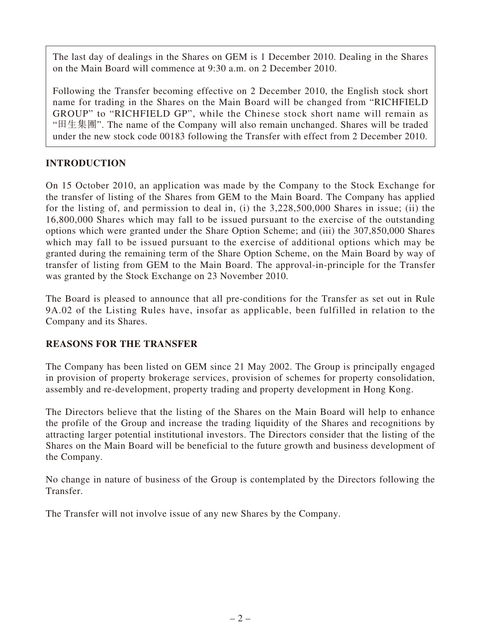The last day of dealings in the Shares on GEM is 1 December 2010. Dealing in the Shares on the Main Board will commence at 9:30 a.m. on 2 December 2010.

Following the Transfer becoming effective on 2 December 2010, the English stock short name for trading in the Shares on the Main Board will be changed from "RICHFIELD GROUP" to "RICHFIELD GP", while the Chinese stock short name will remain as "田生集團". The name of the Company will also remain unchanged. Shares will be traded under the new stock code 00183 following the Transfer with effect from 2 December 2010.

# **INTRODUCTION**

On 15 October 2010, an application was made by the Company to the Stock Exchange for the transfer of listing of the Shares from GEM to the Main Board. The Company has applied for the listing of, and permission to deal in, (i) the 3,228,500,000 Shares in issue; (ii) the 16,800,000 Shares which may fall to be issued pursuant to the exercise of the outstanding options which were granted under the Share Option Scheme; and (iii) the 307,850,000 Shares which may fall to be issued pursuant to the exercise of additional options which may be granted during the remaining term of the Share Option Scheme, on the Main Board by way of transfer of listing from GEM to the Main Board. The approval-in-principle for the Transfer was granted by the Stock Exchange on 23 November 2010.

The Board is pleased to announce that all pre-conditions for the Transfer as set out in Rule 9A.02 of the Listing Rules have, insofar as applicable, been fulfilled in relation to the Company and its Shares.

## **REASONS FOR THE TRANSFER**

The Company has been listed on GEM since 21 May 2002. The Group is principally engaged in provision of property brokerage services, provision of schemes for property consolidation, assembly and re-development, property trading and property development in Hong Kong.

The Directors believe that the listing of the Shares on the Main Board will help to enhance the profile of the Group and increase the trading liquidity of the Shares and recognitions by attracting larger potential institutional investors. The Directors consider that the listing of the Shares on the Main Board will be beneficial to the future growth and business development of the Company.

No change in nature of business of the Group is contemplated by the Directors following the Transfer.

The Transfer will not involve issue of any new Shares by the Company.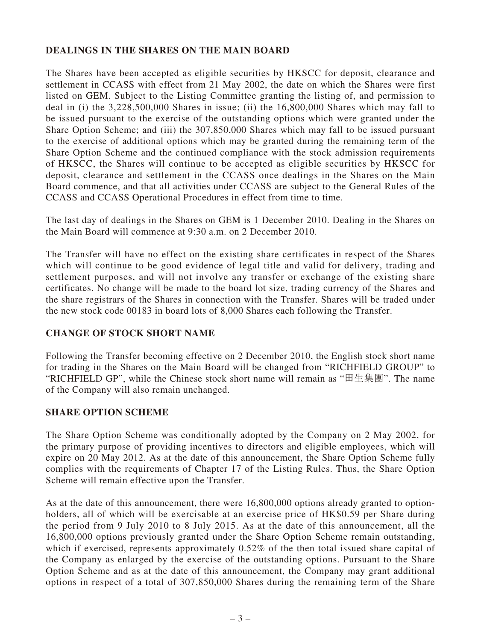## **DEALINGS IN THE SHARES ON THE MAIN BOARD**

The Shares have been accepted as eligible securities by HKSCC for deposit, clearance and settlement in CCASS with effect from 21 May 2002, the date on which the Shares were first listed on GEM. Subject to the Listing Committee granting the listing of, and permission to deal in (i) the 3,228,500,000 Shares in issue; (ii) the 16,800,000 Shares which may fall to be issued pursuant to the exercise of the outstanding options which were granted under the Share Option Scheme; and (iii) the 307,850,000 Shares which may fall to be issued pursuant to the exercise of additional options which may be granted during the remaining term of the Share Option Scheme and the continued compliance with the stock admission requirements of HKSCC, the Shares will continue to be accepted as eligible securities by HKSCC for deposit, clearance and settlement in the CCASS once dealings in the Shares on the Main Board commence, and that all activities under CCASS are subject to the General Rules of the CCASS and CCASS Operational Procedures in effect from time to time.

The last day of dealings in the Shares on GEM is 1 December 2010. Dealing in the Shares on the Main Board will commence at 9:30 a.m. on 2 December 2010.

The Transfer will have no effect on the existing share certificates in respect of the Shares which will continue to be good evidence of legal title and valid for delivery, trading and settlement purposes, and will not involve any transfer or exchange of the existing share certificates. No change will be made to the board lot size, trading currency of the Shares and the share registrars of the Shares in connection with the Transfer. Shares will be traded under the new stock code 00183 in board lots of 8,000 Shares each following the Transfer.

### **CHANGE OF STOCK SHORT NAME**

Following the Transfer becoming effective on 2 December 2010, the English stock short name for trading in the Shares on the Main Board will be changed from "RICHFIELD GROUP" to "RICHFIELD GP", while the Chinese stock short name will remain as "田生集團". The name of the Company will also remain unchanged.

### **SHARE OPTION SCHEME**

The Share Option Scheme was conditionally adopted by the Company on 2 May 2002, for the primary purpose of providing incentives to directors and eligible employees, which will expire on 20 May 2012. As at the date of this announcement, the Share Option Scheme fully complies with the requirements of Chapter 17 of the Listing Rules. Thus, the Share Option Scheme will remain effective upon the Transfer.

As at the date of this announcement, there were 16,800,000 options already granted to optionholders, all of which will be exercisable at an exercise price of HK\$0.59 per Share during the period from 9 July 2010 to 8 July 2015. As at the date of this announcement, all the 16,800,000 options previously granted under the Share Option Scheme remain outstanding, which if exercised, represents approximately 0.52% of the then total issued share capital of the Company as enlarged by the exercise of the outstanding options. Pursuant to the Share Option Scheme and as at the date of this announcement, the Company may grant additional options in respect of a total of 307,850,000 Shares during the remaining term of the Share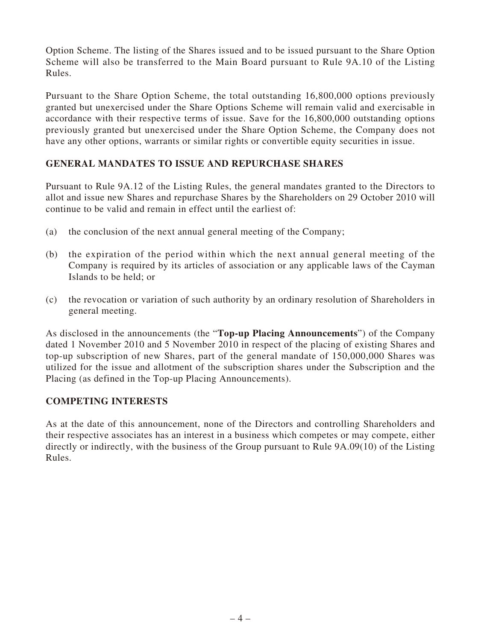Option Scheme. The listing of the Shares issued and to be issued pursuant to the Share Option Scheme will also be transferred to the Main Board pursuant to Rule 9A.10 of the Listing Rules.

Pursuant to the Share Option Scheme, the total outstanding 16,800,000 options previously granted but unexercised under the Share Options Scheme will remain valid and exercisable in accordance with their respective terms of issue. Save for the 16,800,000 outstanding options previously granted but unexercised under the Share Option Scheme, the Company does not have any other options, warrants or similar rights or convertible equity securities in issue.

### **GENERAL MANDATES TO ISSUE AND REPURCHASE SHARES**

Pursuant to Rule 9A.12 of the Listing Rules, the general mandates granted to the Directors to allot and issue new Shares and repurchase Shares by the Shareholders on 29 October 2010 will continue to be valid and remain in effect until the earliest of:

- (a) the conclusion of the next annual general meeting of the Company;
- (b) the expiration of the period within which the next annual general meeting of the Company is required by its articles of association or any applicable laws of the Cayman Islands to be held; or
- (c) the revocation or variation of such authority by an ordinary resolution of Shareholders in general meeting.

As disclosed in the announcements (the "**Top-up Placing Announcements**") of the Company dated 1 November 2010 and 5 November 2010 in respect of the placing of existing Shares and top-up subscription of new Shares, part of the general mandate of 150,000,000 Shares was utilized for the issue and allotment of the subscription shares under the Subscription and the Placing (as defined in the Top-up Placing Announcements).

### **COMPETING INTERESTS**

As at the date of this announcement, none of the Directors and controlling Shareholders and their respective associates has an interest in a business which competes or may compete, either directly or indirectly, with the business of the Group pursuant to Rule 9A.09(10) of the Listing Rules.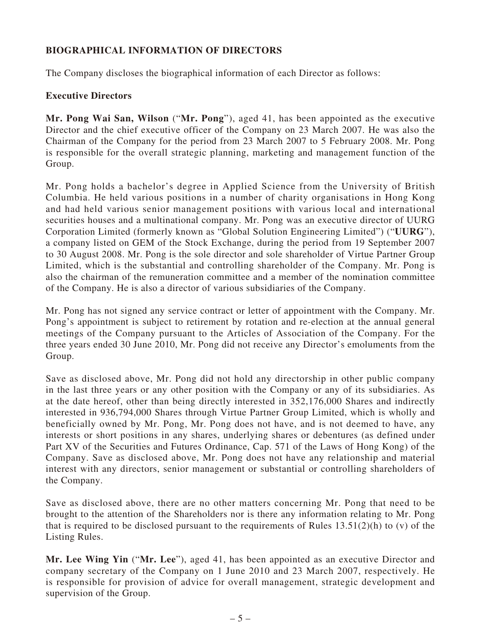## **BIOGRAPHICAL INFORMATION OF DIRECTORS**

The Company discloses the biographical information of each Director as follows:

### **Executive Directors**

**Mr. Pong Wai San, Wilson** ("**Mr. Pong**"), aged 41, has been appointed as the executive Director and the chief executive officer of the Company on 23 March 2007. He was also the Chairman of the Company for the period from 23 March 2007 to 5 February 2008. Mr. Pong is responsible for the overall strategic planning, marketing and management function of the Group.

Mr. Pong holds a bachelor's degree in Applied Science from the University of British Columbia. He held various positions in a number of charity organisations in Hong Kong and had held various senior management positions with various local and international securities houses and a multinational company. Mr. Pong was an executive director of UURG Corporation Limited (formerly known as "Global Solution Engineering Limited") ("**UURG**"), a company listed on GEM of the Stock Exchange, during the period from 19 September 2007 to 30 August 2008. Mr. Pong is the sole director and sole shareholder of Virtue Partner Group Limited, which is the substantial and controlling shareholder of the Company. Mr. Pong is also the chairman of the remuneration committee and a member of the nomination committee of the Company. He is also a director of various subsidiaries of the Company.

Mr. Pong has not signed any service contract or letter of appointment with the Company. Mr. Pong's appointment is subject to retirement by rotation and re-election at the annual general meetings of the Company pursuant to the Articles of Association of the Company. For the three years ended 30 June 2010, Mr. Pong did not receive any Director's emoluments from the Group.

Save as disclosed above, Mr. Pong did not hold any directorship in other public company in the last three years or any other position with the Company or any of its subsidiaries. As at the date hereof, other than being directly interested in 352,176,000 Shares and indirectly interested in 936,794,000 Shares through Virtue Partner Group Limited, which is wholly and beneficially owned by Mr. Pong, Mr. Pong does not have, and is not deemed to have, any interests or short positions in any shares, underlying shares or debentures (as defined under Part XV of the Securities and Futures Ordinance, Cap. 571 of the Laws of Hong Kong) of the Company. Save as disclosed above, Mr. Pong does not have any relationship and material interest with any directors, senior management or substantial or controlling shareholders of the Company.

Save as disclosed above, there are no other matters concerning Mr. Pong that need to be brought to the attention of the Shareholders nor is there any information relating to Mr. Pong that is required to be disclosed pursuant to the requirements of Rules  $13.51(2)(h)$  to (v) of the Listing Rules.

**Mr. Lee Wing Yin** ("**Mr. Lee**"), aged 41, has been appointed as an executive Director and company secretary of the Company on 1 June 2010 and 23 March 2007, respectively. He is responsible for provision of advice for overall management, strategic development and supervision of the Group.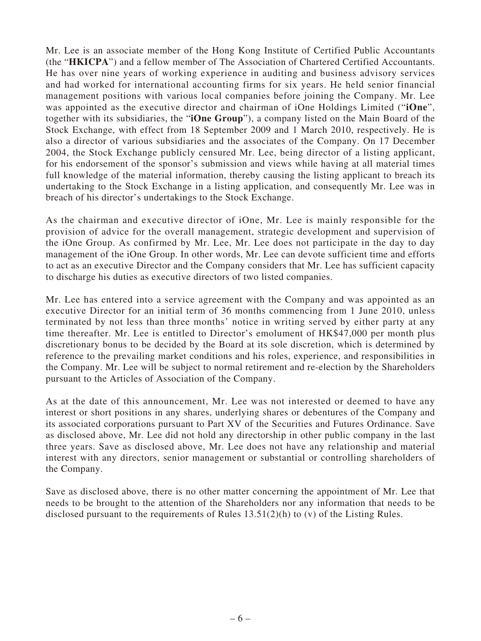Mr. Lee is an associate member of the Hong Kong Institute of Certified Public Accountants (the "**HKICPA**") and a fellow member of The Association of Chartered Certified Accountants. He has over nine years of working experience in auditing and business advisory services and had worked for international accounting firms for six years. He held senior financial management positions with various local companies before joining the Company. Mr. Lee was appointed as the executive director and chairman of iOne Holdings Limited ("**iOne**", together with its subsidiaries, the "**iOne Group**"), a company listed on the Main Board of the Stock Exchange, with effect from 18 September 2009 and 1 March 2010, respectively. He is also a director of various subsidiaries and the associates of the Company. On 17 December 2004, the Stock Exchange publicly censured Mr. Lee, being director of a listing applicant, for his endorsement of the sponsor's submission and views while having at all material times full knowledge of the material information, thereby causing the listing applicant to breach its undertaking to the Stock Exchange in a listing application, and consequently Mr. Lee was in breach of his director's undertakings to the Stock Exchange.

As the chairman and executive director of iOne, Mr. Lee is mainly responsible for the provision of advice for the overall management, strategic development and supervision of the iOne Group. As confirmed by Mr. Lee, Mr. Lee does not participate in the day to day management of the iOne Group. In other words, Mr. Lee can devote sufficient time and efforts to act as an executive Director and the Company considers that Mr. Lee has sufficient capacity to discharge his duties as executive directors of two listed companies.

Mr. Lee has entered into a service agreement with the Company and was appointed as an executive Director for an initial term of 36 months commencing from 1 June 2010, unless terminated by not less than three months' notice in writing served by either party at any time thereafter. Mr. Lee is entitled to Director's emolument of HK\$47,000 per month plus discretionary bonus to be decided by the Board at its sole discretion, which is determined by reference to the prevailing market conditions and his roles, experience, and responsibilities in the Company. Mr. Lee will be subject to normal retirement and re-election by the Shareholders pursuant to the Articles of Association of the Company.

As at the date of this announcement, Mr. Lee was not interested or deemed to have any interest or short positions in any shares, underlying shares or debentures of the Company and its associated corporations pursuant to Part XV of the Securities and Futures Ordinance. Save as disclosed above, Mr. Lee did not hold any directorship in other public company in the last three years. Save as disclosed above, Mr. Lee does not have any relationship and material interest with any directors, senior management or substantial or controlling shareholders of the Company.

Save as disclosed above, there is no other matter concerning the appointment of Mr. Lee that needs to be brought to the attention of the Shareholders nor any information that needs to be disclosed pursuant to the requirements of Rules 13.51(2)(h) to (v) of the Listing Rules.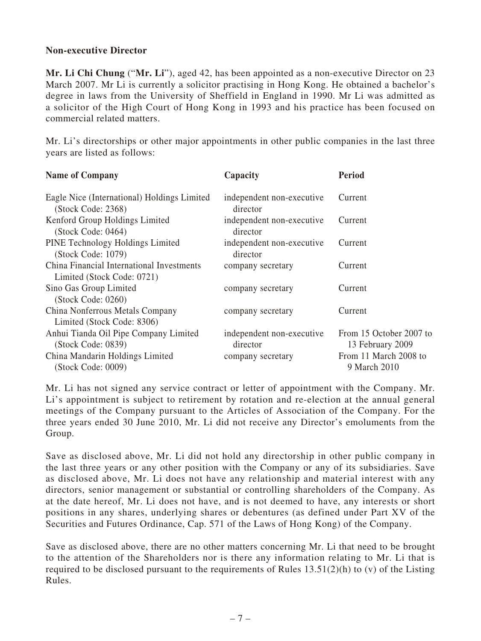#### **Non-executive Director**

**Mr. Li Chi Chung** ("**Mr. Li**"), aged 42, has been appointed as a non-executive Director on 23 March 2007. Mr Li is currently a solicitor practising in Hong Kong. He obtained a bachelor's degree in laws from the University of Sheffield in England in 1990. Mr Li was admitted as a solicitor of the High Court of Hong Kong in 1993 and his practice has been focused on commercial related matters.

Mr. Li's directorships or other major appointments in other public companies in the last three years are listed as follows:

| <b>Name of Company</b>                                                  | Capacity                              | <b>Period</b>                               |
|-------------------------------------------------------------------------|---------------------------------------|---------------------------------------------|
| Eagle Nice (International) Holdings Limited<br>(Stock Code: 2368)       | independent non-executive<br>director | Current                                     |
| Kenford Group Holdings Limited<br>(Stock Code: 0464)                    | independent non-executive<br>director | Current                                     |
| PINE Technology Holdings Limited<br>(Stock Code: 1079)                  | independent non-executive<br>director | Current                                     |
| China Financial International Investments<br>Limited (Stock Code: 0721) | company secretary                     | Current                                     |
| Sino Gas Group Limited<br>(Stock Code: 0260)                            | company secretary                     | Current                                     |
| China Nonferrous Metals Company<br>Limited (Stock Code: 8306)           | company secretary                     | Current                                     |
| Anhui Tianda Oil Pipe Company Limited<br>(Stock Code: 0839)             | independent non-executive<br>director | From 15 October 2007 to<br>13 February 2009 |
| China Mandarin Holdings Limited<br>(Stock Code: 0009)                   | company secretary                     | From 11 March 2008 to<br>9 March 2010       |

Mr. Li has not signed any service contract or letter of appointment with the Company. Mr. Li's appointment is subject to retirement by rotation and re-election at the annual general meetings of the Company pursuant to the Articles of Association of the Company. For the three years ended 30 June 2010, Mr. Li did not receive any Director's emoluments from the Group.

Save as disclosed above, Mr. Li did not hold any directorship in other public company in the last three years or any other position with the Company or any of its subsidiaries. Save as disclosed above, Mr. Li does not have any relationship and material interest with any directors, senior management or substantial or controlling shareholders of the Company. As at the date hereof, Mr. Li does not have, and is not deemed to have, any interests or short positions in any shares, underlying shares or debentures (as defined under Part XV of the Securities and Futures Ordinance, Cap. 571 of the Laws of Hong Kong) of the Company.

Save as disclosed above, there are no other matters concerning Mr. Li that need to be brought to the attention of the Shareholders nor is there any information relating to Mr. Li that is required to be disclosed pursuant to the requirements of Rules  $13.51(2)(h)$  to (v) of the Listing Rules.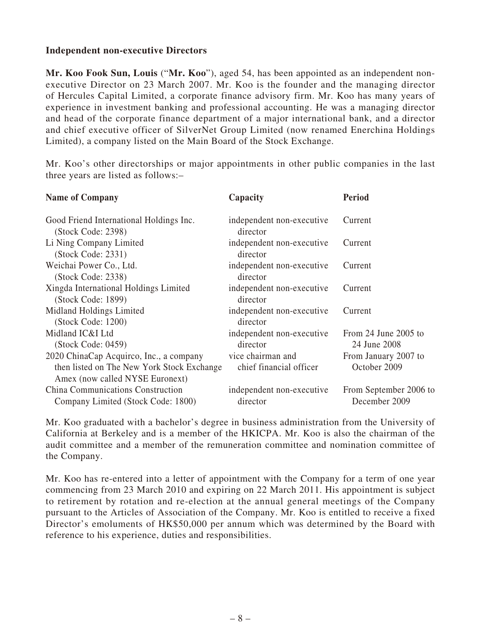#### **Independent non-executive Directors**

**Mr. Koo Fook Sun, Louis** ("**Mr. Koo**"), aged 54, has been appointed as an independent nonexecutive Director on 23 March 2007. Mr. Koo is the founder and the managing director of Hercules Capital Limited, a corporate finance advisory firm. Mr. Koo has many years of experience in investment banking and professional accounting. He was a managing director and head of the corporate finance department of a major international bank, and a director and chief executive officer of SilverNet Group Limited (now renamed Enerchina Holdings Limited), a company listed on the Main Board of the Stock Exchange.

Mr. Koo's other directorships or major appointments in other public companies in the last three years are listed as follows:–

| <b>Name of Company</b>                                                                                                   | Capacity                                     | <b>Period</b>                           |
|--------------------------------------------------------------------------------------------------------------------------|----------------------------------------------|-----------------------------------------|
| Good Friend International Holdings Inc.<br>(Stock Code: 2398)                                                            | independent non-executive<br>director        | Current                                 |
| Li Ning Company Limited<br>(Stock Code: 2331)                                                                            | independent non-executive<br>director        | Current                                 |
| Weichai Power Co., Ltd.<br>(Stock Code: 2338)                                                                            | independent non-executive<br>director        | Current                                 |
| Xingda International Holdings Limited<br>(Stock Code: 1899)                                                              | independent non-executive<br>director        | Current                                 |
| Midland Holdings Limited<br>(Stock Code: 1200)                                                                           | independent non-executive<br>director        | Current                                 |
| Midland IC&I Ltd<br>(Stock Code: 0459)                                                                                   | independent non-executive<br>director        | From 24 June 2005 to<br>24 June 2008    |
| 2020 ChinaCap Acquirco, Inc., a company<br>then listed on The New York Stock Exchange<br>Amex (now called NYSE Euronext) | vice chairman and<br>chief financial officer | From January 2007 to<br>October 2009    |
| China Communications Construction<br>Company Limited (Stock Code: 1800)                                                  | independent non-executive<br>director        | From September 2006 to<br>December 2009 |

Mr. Koo graduated with a bachelor's degree in business administration from the University of California at Berkeley and is a member of the HKICPA. Mr. Koo is also the chairman of the audit committee and a member of the remuneration committee and nomination committee of the Company.

Mr. Koo has re-entered into a letter of appointment with the Company for a term of one year commencing from 23 March 2010 and expiring on 22 March 2011. His appointment is subject to retirement by rotation and re-election at the annual general meetings of the Company pursuant to the Articles of Association of the Company. Mr. Koo is entitled to receive a fixed Director's emoluments of HK\$50,000 per annum which was determined by the Board with reference to his experience, duties and responsibilities.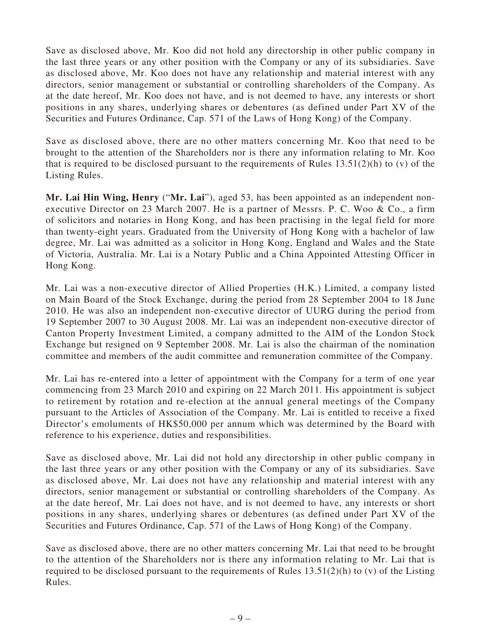Save as disclosed above, Mr. Koo did not hold any directorship in other public company in the last three years or any other position with the Company or any of its subsidiaries. Save as disclosed above, Mr. Koo does not have any relationship and material interest with any directors, senior management or substantial or controlling shareholders of the Company. As at the date hereof, Mr. Koo does not have, and is not deemed to have, any interests or short positions in any shares, underlying shares or debentures (as defined under Part XV of the Securities and Futures Ordinance, Cap. 571 of the Laws of Hong Kong) of the Company.

Save as disclosed above, there are no other matters concerning Mr. Koo that need to be brought to the attention of the Shareholders nor is there any information relating to Mr. Koo that is required to be disclosed pursuant to the requirements of Rules  $13.51(2)(h)$  to (v) of the Listing Rules.

**Mr. Lai Hin Wing, Henry** ("**Mr. Lai**"), aged 53, has been appointed as an independent nonexecutive Director on 23 March 2007. He is a partner of Messrs. P. C. Woo & Co., a firm of solicitors and notaries in Hong Kong, and has been practising in the legal field for more than twenty-eight years. Graduated from the University of Hong Kong with a bachelor of law degree, Mr. Lai was admitted as a solicitor in Hong Kong, England and Wales and the State of Victoria, Australia. Mr. Lai is a Notary Public and a China Appointed Attesting Officer in Hong Kong.

Mr. Lai was a non-executive director of Allied Properties (H.K.) Limited, a company listed on Main Board of the Stock Exchange, during the period from 28 September 2004 to 18 June 2010. He was also an independent non-executive director of UURG during the period from 19 September 2007 to 30 August 2008. Mr. Lai was an independent non-executive director of Canton Property Investment Limited, a company admitted to the AIM of the London Stock Exchange but resigned on 9 September 2008. Mr. Lai is also the chairman of the nomination committee and members of the audit committee and remuneration committee of the Company.

Mr. Lai has re-entered into a letter of appointment with the Company for a term of one year commencing from 23 March 2010 and expiring on 22 March 2011. His appointment is subject to retirement by rotation and re-election at the annual general meetings of the Company pursuant to the Articles of Association of the Company. Mr. Lai is entitled to receive a fixed Director's emoluments of HK\$50,000 per annum which was determined by the Board with reference to his experience, duties and responsibilities.

Save as disclosed above, Mr. Lai did not hold any directorship in other public company in the last three years or any other position with the Company or any of its subsidiaries. Save as disclosed above, Mr. Lai does not have any relationship and material interest with any directors, senior management or substantial or controlling shareholders of the Company. As at the date hereof, Mr. Lai does not have, and is not deemed to have, any interests or short positions in any shares, underlying shares or debentures (as defined under Part XV of the Securities and Futures Ordinance, Cap. 571 of the Laws of Hong Kong) of the Company.

Save as disclosed above, there are no other matters concerning Mr. Lai that need to be brought to the attention of the Shareholders nor is there any information relating to Mr. Lai that is required to be disclosed pursuant to the requirements of Rules 13.51(2)(h) to (v) of the Listing Rules.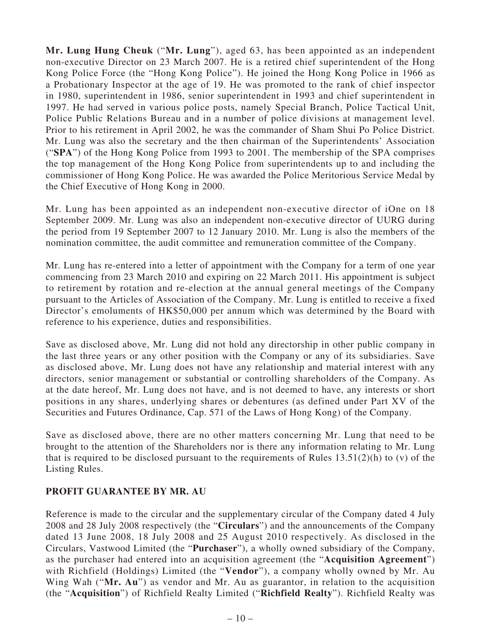**Mr. Lung Hung Cheuk** ("**Mr. Lung**"), aged 63, has been appointed as an independent non-executive Director on 23 March 2007. He is a retired chief superintendent of the Hong Kong Police Force (the "Hong Kong Police"). He joined the Hong Kong Police in 1966 as a Probationary Inspector at the age of 19. He was promoted to the rank of chief inspector in 1980, superintendent in 1986, senior superintendent in 1993 and chief superintendent in 1997. He had served in various police posts, namely Special Branch, Police Tactical Unit, Police Public Relations Bureau and in a number of police divisions at management level. Prior to his retirement in April 2002, he was the commander of Sham Shui Po Police District. Mr. Lung was also the secretary and the then chairman of the Superintendents' Association ("**SPA**") of the Hong Kong Police from 1993 to 2001. The membership of the SPA comprises the top management of the Hong Kong Police from superintendents up to and including the commissioner of Hong Kong Police. He was awarded the Police Meritorious Service Medal by the Chief Executive of Hong Kong in 2000.

Mr. Lung has been appointed as an independent non-executive director of iOne on 18 September 2009. Mr. Lung was also an independent non-executive director of UURG during the period from 19 September 2007 to 12 January 2010. Mr. Lung is also the members of the nomination committee, the audit committee and remuneration committee of the Company.

Mr. Lung has re-entered into a letter of appointment with the Company for a term of one year commencing from 23 March 2010 and expiring on 22 March 2011. His appointment is subject to retirement by rotation and re-election at the annual general meetings of the Company pursuant to the Articles of Association of the Company. Mr. Lung is entitled to receive a fixed Director's emoluments of HK\$50,000 per annum which was determined by the Board with reference to his experience, duties and responsibilities.

Save as disclosed above, Mr. Lung did not hold any directorship in other public company in the last three years or any other position with the Company or any of its subsidiaries. Save as disclosed above, Mr. Lung does not have any relationship and material interest with any directors, senior management or substantial or controlling shareholders of the Company. As at the date hereof, Mr. Lung does not have, and is not deemed to have, any interests or short positions in any shares, underlying shares or debentures (as defined under Part XV of the Securities and Futures Ordinance, Cap. 571 of the Laws of Hong Kong) of the Company.

Save as disclosed above, there are no other matters concerning Mr. Lung that need to be brought to the attention of the Shareholders nor is there any information relating to Mr. Lung that is required to be disclosed pursuant to the requirements of Rules  $13.51(2)(h)$  to (v) of the Listing Rules.

### **PROFIT GUARANTEE BY MR. AU**

Reference is made to the circular and the supplementary circular of the Company dated 4 July 2008 and 28 July 2008 respectively (the "**Circulars**") and the announcements of the Company dated 13 June 2008, 18 July 2008 and 25 August 2010 respectively. As disclosed in the Circulars, Vastwood Limited (the "**Purchaser**"), a wholly owned subsidiary of the Company, as the purchaser had entered into an acquisition agreement (the "**Acquisition Agreement**") with Richfield (Holdings) Limited (the "**Vendor**"), a company wholly owned by Mr. Au Wing Wah ("Mr. Au") as vendor and Mr. Au as guarantor, in relation to the acquisition (the "**Acquisition**") of Richfield Realty Limited ("**Richfield Realty**"). Richfield Realty was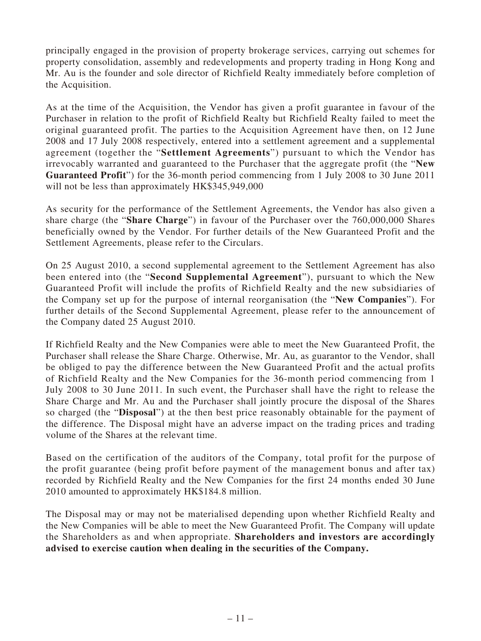principally engaged in the provision of property brokerage services, carrying out schemes for property consolidation, assembly and redevelopments and property trading in Hong Kong and Mr. Au is the founder and sole director of Richfield Realty immediately before completion of the Acquisition.

As at the time of the Acquisition, the Vendor has given a profit guarantee in favour of the Purchaser in relation to the profit of Richfield Realty but Richfield Realty failed to meet the original guaranteed profit. The parties to the Acquisition Agreement have then, on 12 June 2008 and 17 July 2008 respectively, entered into a settlement agreement and a supplemental agreement (together the "**Settlement Agreements**") pursuant to which the Vendor has irrevocably warranted and guaranteed to the Purchaser that the aggregate profit (the "**New Guaranteed Profit**") for the 36-month period commencing from 1 July 2008 to 30 June 2011 will not be less than approximately HK\$345,949,000

As security for the performance of the Settlement Agreements, the Vendor has also given a share charge (the "**Share Charge**") in favour of the Purchaser over the 760,000,000 Shares beneficially owned by the Vendor. For further details of the New Guaranteed Profit and the Settlement Agreements, please refer to the Circulars.

On 25 August 2010, a second supplemental agreement to the Settlement Agreement has also been entered into (the "**Second Supplemental Agreement**"), pursuant to which the New Guaranteed Profit will include the profits of Richfield Realty and the new subsidiaries of the Company set up for the purpose of internal reorganisation (the "**New Companies**"). For further details of the Second Supplemental Agreement, please refer to the announcement of the Company dated 25 August 2010.

If Richfield Realty and the New Companies were able to meet the New Guaranteed Profit, the Purchaser shall release the Share Charge. Otherwise, Mr. Au, as guarantor to the Vendor, shall be obliged to pay the difference between the New Guaranteed Profit and the actual profits of Richfield Realty and the New Companies for the 36-month period commencing from 1 July 2008 to 30 June 2011. In such event, the Purchaser shall have the right to release the Share Charge and Mr. Au and the Purchaser shall jointly procure the disposal of the Shares so charged (the "**Disposal**") at the then best price reasonably obtainable for the payment of the difference. The Disposal might have an adverse impact on the trading prices and trading volume of the Shares at the relevant time.

Based on the certification of the auditors of the Company, total profit for the purpose of the profit guarantee (being profit before payment of the management bonus and after tax) recorded by Richfield Realty and the New Companies for the first 24 months ended 30 June 2010 amounted to approximately HK\$184.8 million.

The Disposal may or may not be materialised depending upon whether Richfield Realty and the New Companies will be able to meet the New Guaranteed Profit. The Company will update the Shareholders as and when appropriate. **Shareholders and investors are accordingly advised to exercise caution when dealing in the securities of the Company.**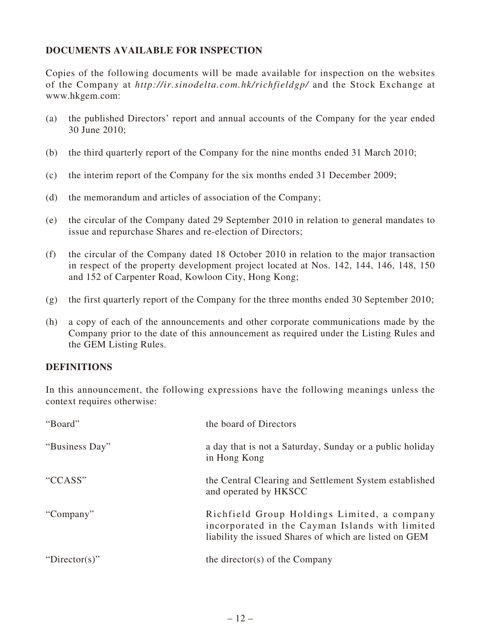## **DOCUMENTS AVAILABLE FOR INSPECTION**

Copies of the following documents will be made available for inspection on the websites of the Company at *http://ir.sinodelta.com.hk/richfieldgp/* and the Stock Exchange at www.hkgem.com:

- (a) the published Directors' report and annual accounts of the Company for the year ended 30 June 2010;
- (b) the third quarterly report of the Company for the nine months ended 31 March 2010;
- (c) the interim report of the Company for the six months ended 31 December 2009;
- (d) the memorandum and articles of association of the Company;
- (e) the circular of the Company dated 29 September 2010 in relation to general mandates to issue and repurchase Shares and re-election of Directors;
- (f) the circular of the Company dated 18 October 2010 in relation to the major transaction in respect of the property development project located at Nos. 142, 144, 146, 148, 150 and 152 of Carpenter Road, Kowloon City, Hong Kong;
- (g) the first quarterly report of the Company for the three months ended 30 September 2010;
- (h) a copy of each of the announcements and other corporate communications made by the Company prior to the date of this announcement as required under the Listing Rules and the GEM Listing Rules.

#### **DEFINITIONS**

In this announcement, the following expressions have the following meanings unless the context requires otherwise:

| "Board"        | the board of Directors                                                                                                                                   |
|----------------|----------------------------------------------------------------------------------------------------------------------------------------------------------|
| "Business Day" | a day that is not a Saturday, Sunday or a public holiday<br>in Hong Kong                                                                                 |
| "CCASS"        | the Central Clearing and Settlement System established<br>and operated by HKSCC                                                                          |
| "Company"      | Richfield Group Holdings Limited, a company<br>incorporated in the Cayman Islands with limited<br>liability the issued Shares of which are listed on GEM |
| "Director(s)"  | the director(s) of the Company                                                                                                                           |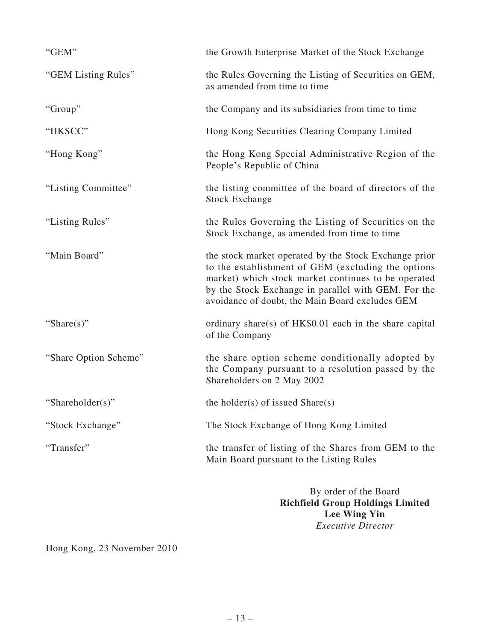| "GEM"                 | the Growth Enterprise Market of the Stock Exchange                                                                                                                                                                                                                           |
|-----------------------|------------------------------------------------------------------------------------------------------------------------------------------------------------------------------------------------------------------------------------------------------------------------------|
| "GEM Listing Rules"   | the Rules Governing the Listing of Securities on GEM,<br>as amended from time to time                                                                                                                                                                                        |
| "Group"               | the Company and its subsidiaries from time to time                                                                                                                                                                                                                           |
| "HKSCC"               | Hong Kong Securities Clearing Company Limited                                                                                                                                                                                                                                |
| "Hong Kong"           | the Hong Kong Special Administrative Region of the<br>People's Republic of China                                                                                                                                                                                             |
| "Listing Committee"   | the listing committee of the board of directors of the<br><b>Stock Exchange</b>                                                                                                                                                                                              |
| "Listing Rules"       | the Rules Governing the Listing of Securities on the<br>Stock Exchange, as amended from time to time                                                                                                                                                                         |
| "Main Board"          | the stock market operated by the Stock Exchange prior<br>to the establishment of GEM (excluding the options<br>market) which stock market continues to be operated<br>by the Stock Exchange in parallel with GEM. For the<br>avoidance of doubt, the Main Board excludes GEM |
| "Share $(s)$ "        | ordinary share(s) of $HK$0.01$ each in the share capital<br>of the Company                                                                                                                                                                                                   |
| "Share Option Scheme" | the share option scheme conditionally adopted by<br>the Company pursuant to a resolution passed by the<br>Shareholders on 2 May 2002                                                                                                                                         |
| "Shareholder(s)"      | the holder(s) of issued $Share(s)$                                                                                                                                                                                                                                           |
| "Stock Exchange"      | The Stock Exchange of Hong Kong Limited                                                                                                                                                                                                                                      |
| "Transfer"            | the transfer of listing of the Shares from GEM to the<br>Main Board pursuant to the Listing Rules                                                                                                                                                                            |
|                       | By order of the Board                                                                                                                                                                                                                                                        |

**Richfield Group Holdings Limited Lee Wing Yin** *Executive Director*

Hong Kong, 23 November 2010